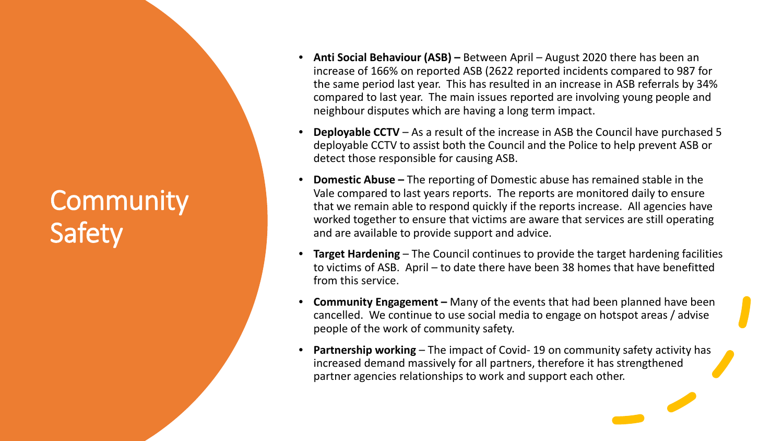## **Community** Safety

- **Anti Social Behaviour (ASB) –** Between April August 2020 there has been an increase of 166% on reported ASB (2622 reported incidents compared to 987 for the same period last year. This has resulted in an increase in ASB referrals by 34% compared to last year. The main issues reported are involving young people and neighbour disputes which are having a long term impact.
- **Deployable CCTV**  As a result of the increase in ASB the Council have purchased 5 deployable CCTV to assist both the Council and the Police to help prevent ASB or detect those responsible for causing ASB.
- **Domestic Abuse –** The reporting of Domestic abuse has remained stable in the Vale compared to last years reports. The reports are monitored daily to ensure that we remain able to respond quickly if the reports increase. All agencies have worked together to ensure that victims are aware that services are still operating and are available to provide support and advice.
- **Target Hardening**  The Council continues to provide the target hardening facilities to victims of ASB. April – to date there have been 38 homes that have benefitted from this service.
- **Community Engagement –** Many of the events that had been planned have been cancelled. We continue to use social media to engage on hotspot areas / advise people of the work of community safety.
- **Partnership working** The impact of Covid-19 on community safety activity has increased demand massively for all partners, therefore it has strengthened partner agencies relationships to work and support each other.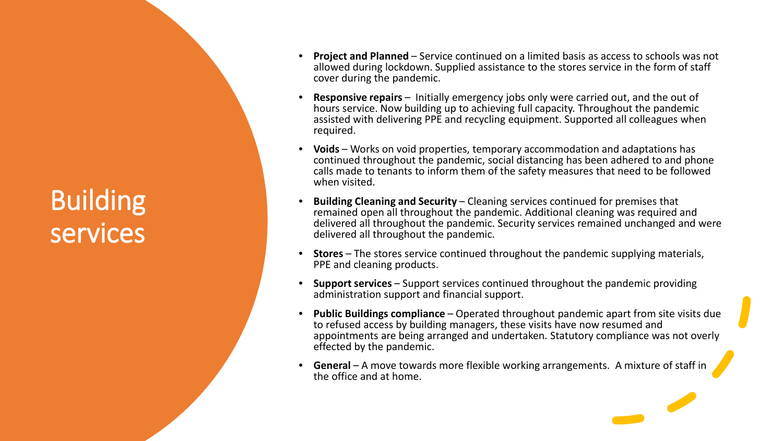## Building services

- **Project and Planned** Service continued on a limited basis as access to schools was not allowed during lockdown. Supplied assistance to the stores service in the form of staff cover during the pandemic.
- **Responsive repairs** Initially emergency jobs only were carried out, and the out of hours service. Now building up to achieving full capacity. Throughout the pandemic assisted with delivering PPE and recycling equipment. Supported all colleagues when required.
- **Voids**  Works on void properties, temporary accommodation and adaptations has continued throughout the pandemic, social distancing has been adhered to and phone calls made to tenants to inform them of the safety measures that need to be followed when visited.
- **Building Cleaning and Security** Cleaning services continued for premises that remained open all throughout the pandemic. Additional cleaning was required and delivered all throughout the pandemic. Security services remained unchanged and were delivered all throughout the pandemic.
- **Stores** The stores service continued throughout the pandemic supplying materials, PPE and cleaning products.
- **Support services** Support services continued throughout the pandemic providing administration support and financial support.
- **Public Buildings compliance** Operated throughout pandemic apart from site visits due to refused access by building managers, these visits have now resumed and appointments are being arranged and undertaken. Statutory compliance was not overly effected by the pandemic.
- **General** A move towards more flexible working arrangements. A mixture of staff in the office and at home.